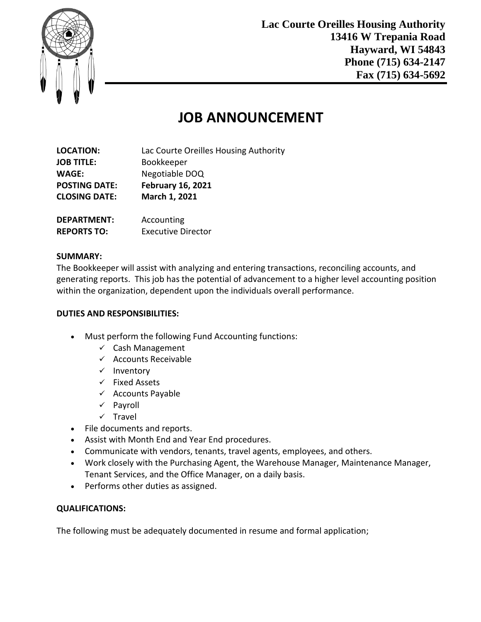

**Lac Courte Oreilles Housing Authority 13416 W Trepania Road Hayward, WI 54843 Phone (715) 634-2147 Fax (715) 634-5692**

# **JOB ANNOUNCEMENT**

| <b>LOCATION:</b>     | Lac Courte Oreilles Housing Authority |
|----------------------|---------------------------------------|
| <b>JOB TITLE:</b>    | Bookkeeper                            |
| <b>WAGE:</b>         | Negotiable DOQ                        |
| <b>POSTING DATE:</b> | <b>February 16, 2021</b>              |
| <b>CLOSING DATE:</b> | March 1, 2021                         |
| <b>DEPARTMENT:</b>   | Accounting                            |
| <b>REPORTS TO:</b>   | <b>Executive Director</b>             |

### **SUMMARY:**

The Bookkeeper will assist with analyzing and entering transactions, reconciling accounts, and generating reports. This job has the potential of advancement to a higher level accounting position within the organization, dependent upon the individuals overall performance.

#### **DUTIES AND RESPONSIBILITIES:**

- Must perform the following Fund Accounting functions:
	- $\checkmark$  Cash Management
	- $\checkmark$  Accounts Receivable
	- $\checkmark$  Inventory
	- $\checkmark$  Fixed Assets
	- $\checkmark$  Accounts Payable
	- $\checkmark$  Payroll
	- $\times$  Travel
- File documents and reports.
- Assist with Month End and Year End procedures.
- Communicate with vendors, tenants, travel agents, employees, and others.
- Work closely with the Purchasing Agent, the Warehouse Manager, Maintenance Manager, Tenant Services, and the Office Manager, on a daily basis.
- Performs other duties as assigned.

#### **QUALIFICATIONS:**

The following must be adequately documented in resume and formal application;